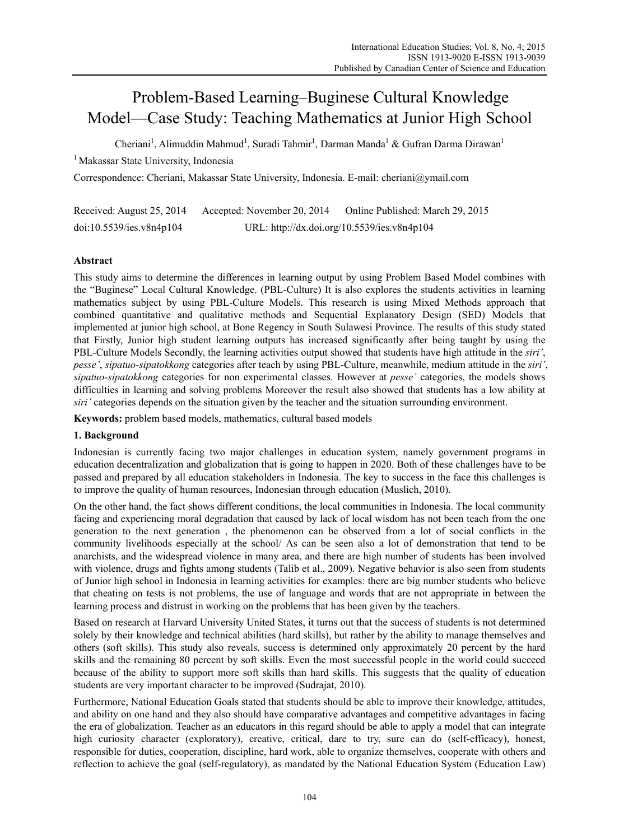# Problem-Based Learning–Buginese Cultural Knowledge Model—Case Study: Teaching Mathematics at Junior High School

Cheriani<sup>1</sup>, Alimuddin Mahmud<sup>1</sup>, Suradi Tahmir<sup>1</sup>, Darman Manda<sup>1</sup> & Gufran Darma Dirawan<sup>1</sup>

<sup>1</sup> Makassar State University, Indonesia

Correspondence: Cheriani, Makassar State University, Indonesia. E-mail: cheriani@ymail.com

| Received: August 25, 2014 | Accepted: November 20, 2014 | Online Published: March 29, 2015            |
|---------------------------|-----------------------------|---------------------------------------------|
| doi:10.5539/ies.v8n4p104  |                             | URL: http://dx.doi.org/10.5539/ies.v8n4p104 |

## **Abstract**

This study aims to determine the differences in learning output by using Problem Based Model combines with the "Buginese" Local Cultural Knowledge. (PBL-Culture) It is also explores the students activities in learning mathematics subject by using PBL-Culture Models. This research is using Mixed Methods approach that combined quantitative and qualitative methods and Sequential Explanatory Design (SED) Models that implemented at junior high school, at Bone Regency in South Sulawesi Province. The results of this study stated that Firstly, Junior high student learning outputs has increased significantly after being taught by using the PBL-Culture Models Secondly, the learning activities output showed that students have high attitude in the *siri'*, *pesse'*, *sipatuo-sipatokkong* categories after teach by using PBL-Culture, meanwhile, medium attitude in the *siri'*, *sipatuo-sipatokkong* categories for non experimental classes. However at *pesse'* categories, the models shows difficulties in learning and solving problems Moreover the result also showed that students has a low ability at *siri'* categories depends on the situation given by the teacher and the situation surrounding environment.

**Keywords:** problem based models, mathematics, cultural based models

#### **1. Background**

Indonesian is currently facing two major challenges in education system, namely government programs in education decentralization and globalization that is going to happen in 2020. Both of these challenges have to be passed and prepared by all education stakeholders in Indonesia. The key to success in the face this challenges is to improve the quality of human resources, Indonesian through education (Muslich, 2010).

On the other hand, the fact shows different conditions, the local communities in Indonesia. The local community facing and experiencing moral degradation that caused by lack of local wisdom has not been teach from the one generation to the next generation , the phenomenon can be observed from a lot of social conflicts in the community livelihoods especially at the school/ As can be seen also a lot of demonstration that tend to be anarchists, and the widespread violence in many area, and there are high number of students has been involved with violence, drugs and fights among students (Talib et al., 2009). Negative behavior is also seen from students of Junior high school in Indonesia in learning activities for examples: there are big number students who believe that cheating on tests is not problems, the use of language and words that are not appropriate in between the learning process and distrust in working on the problems that has been given by the teachers.

Based on research at Harvard University United States, it turns out that the success of students is not determined solely by their knowledge and technical abilities (hard skills), but rather by the ability to manage themselves and others (soft skills). This study also reveals, success is determined only approximately 20 percent by the hard skills and the remaining 80 percent by soft skills. Even the most successful people in the world could succeed because of the ability to support more soft skills than hard skills. This suggests that the quality of education students are very important character to be improved (Sudrajat, 2010).

Furthermore, National Education Goals stated that students should be able to improve their knowledge, attitudes, and ability on one hand and they also should have comparative advantages and competitive advantages in facing the era of globalization. Teacher as an educators in this regard should be able to apply a model that can integrate high curiosity character (exploratory), creative, critical, dare to try, sure can do (self-efficacy), honest, responsible for duties, cooperation, discipline, hard work, able to organize themselves, cooperate with others and reflection to achieve the goal (self-regulatory), as mandated by the National Education System (Education Law)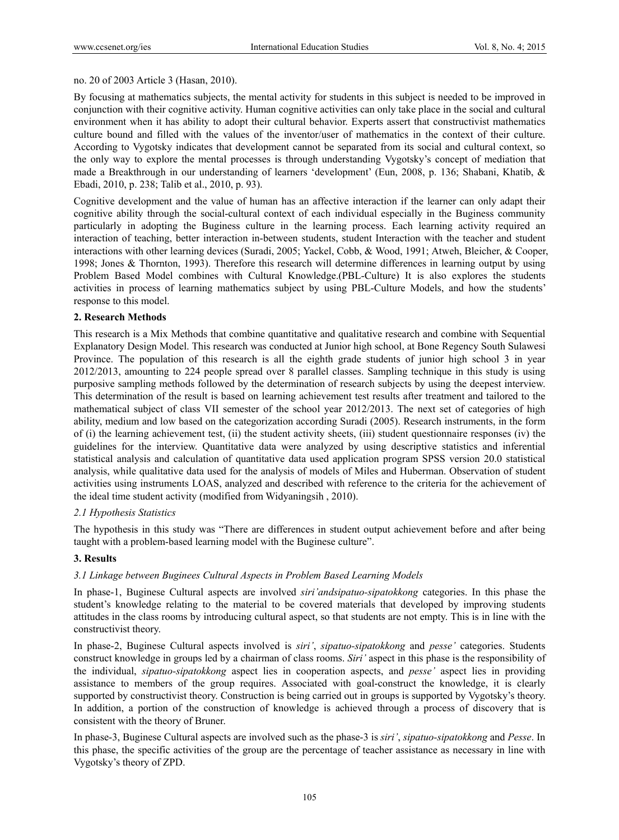### no. 20 of 2003 Article 3 (Hasan, 2010).

By focusing at mathematics subjects, the mental activity for students in this subject is needed to be improved in conjunction with their cognitive activity. Human cognitive activities can only take place in the social and cultural environment when it has ability to adopt their cultural behavior. Experts assert that constructivist mathematics culture bound and filled with the values of the inventor/user of mathematics in the context of their culture. According to Vygotsky indicates that development cannot be separated from its social and cultural context, so the only way to explore the mental processes is through understanding Vygotsky's concept of mediation that made a Breakthrough in our understanding of learners 'development' (Eun, 2008, p. 136; Shabani, Khatib, & Ebadi, 2010, p. 238; Talib et al., 2010, p. 93).

Cognitive development and the value of human has an affective interaction if the learner can only adapt their cognitive ability through the social-cultural context of each individual especially in the Buginess community particularly in adopting the Buginess culture in the learning process. Each learning activity required an interaction of teaching, better interaction in-between students, student Interaction with the teacher and student interactions with other learning devices (Suradi, 2005; Yackel, Cobb, & Wood, 1991; Atweh, Bleicher, & Cooper, 1998; Jones & Thornton, 1993). Therefore this research will determine differences in learning output by using Problem Based Model combines with Cultural Knowledge.(PBL-Culture) It is also explores the students activities in process of learning mathematics subject by using PBL-Culture Models, and how the students' response to this model.

### **2. Research Methods**

This research is a Mix Methods that combine quantitative and qualitative research and combine with Sequential Explanatory Design Model. This research was conducted at Junior high school, at Bone Regency South Sulawesi Province. The population of this research is all the eighth grade students of junior high school 3 in year 2012/2013, amounting to 224 people spread over 8 parallel classes. Sampling technique in this study is using purposive sampling methods followed by the determination of research subjects by using the deepest interview. This determination of the result is based on learning achievement test results after treatment and tailored to the mathematical subject of class VII semester of the school year 2012/2013. The next set of categories of high ability, medium and low based on the categorization according Suradi (2005). Research instruments, in the form of (i) the learning achievement test, (ii) the student activity sheets, (iii) student questionnaire responses (iv) the guidelines for the interview. Quantitative data were analyzed by using descriptive statistics and inferential statistical analysis and calculation of quantitative data used application program SPSS version 20.0 statistical analysis, while qualitative data used for the analysis of models of Miles and Huberman. Observation of student activities using instruments LOAS, analyzed and described with reference to the criteria for the achievement of the ideal time student activity (modified from Widyaningsih , 2010).

## *2.1 Hypothesis Statistics*

The hypothesis in this study was "There are differences in student output achievement before and after being taught with a problem-based learning model with the Buginese culture".

#### **3. Results**

## *3.1 Linkage between Buginees Cultural Aspects in Problem Based Learning Models*

In phase-1, Buginese Cultural aspects are involved *siri'andsipatuo-sipatokkong* categories. In this phase the student's knowledge relating to the material to be covered materials that developed by improving students attitudes in the class rooms by introducing cultural aspect, so that students are not empty. This is in line with the constructivist theory.

In phase-2, Buginese Cultural aspects involved is *siri'*, *sipatuo-sipatokkong* and *pesse'* categories. Students construct knowledge in groups led by a chairman of class rooms. *Siri'* aspect in this phase is the responsibility of the individual, *sipatuo-sipatokkong* aspect lies in cooperation aspects, and *pesse'* aspect lies in providing assistance to members of the group requires. Associated with goal-construct the knowledge, it is clearly supported by constructivist theory. Construction is being carried out in groups is supported by Vygotsky's theory. In addition, a portion of the construction of knowledge is achieved through a process of discovery that is consistent with the theory of Bruner.

In phase-3, Buginese Cultural aspects are involved such as the phase-3 is *siri'*, *sipatuo-sipatokkong* and *Pesse*. In this phase, the specific activities of the group are the percentage of teacher assistance as necessary in line with Vygotsky's theory of ZPD.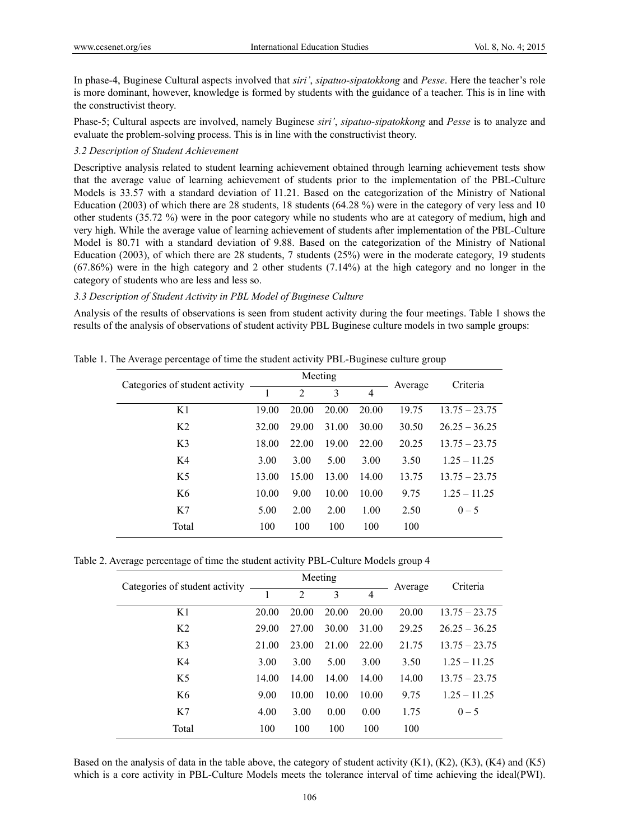In phase-4, Buginese Cultural aspects involved that *siri'*, *sipatuo-sipatokkong* and *Pesse*. Here the teacher's role is more dominant, however, knowledge is formed by students with the guidance of a teacher. This is in line with the constructivist theory.

Phase-5; Cultural aspects are involved, namely Buginese *siri'*, *sipatuo-sipatokkong* and *Pesse* is to analyze and evaluate the problem-solving process. This is in line with the constructivist theory.

#### *3.2 Description of Student Achievement*

Descriptive analysis related to student learning achievement obtained through learning achievement tests show that the average value of learning achievement of students prior to the implementation of the PBL-Culture Models is 33.57 with a standard deviation of 11.21. Based on the categorization of the Ministry of National Education (2003) of which there are 28 students, 18 students (64.28 %) were in the category of very less and 10 other students (35.72 %) were in the poor category while no students who are at category of medium, high and very high. While the average value of learning achievement of students after implementation of the PBL-Culture Model is 80.71 with a standard deviation of 9.88. Based on the categorization of the Ministry of National Education (2003), of which there are 28 students, 7 students (25%) were in the moderate category, 19 students (67.86%) were in the high category and 2 other students (7.14%) at the high category and no longer in the category of students who are less and less so.

#### *3.3 Description of Student Activity in PBL Model of Buginese Culture*

Analysis of the results of observations is seen from student activity during the four meetings. Table 1 shows the results of the analysis of observations of student activity PBL Buginese culture models in two sample groups:

| Categories of student activity |       |                | Meeting | Average | Criteria |                 |
|--------------------------------|-------|----------------|---------|---------|----------|-----------------|
|                                |       | $\mathfrak{D}$ | 3       | 4       |          |                 |
| K1                             | 19.00 | 20.00          | 20.00   | 20.00   | 19.75    | $13.75 - 23.75$ |
| K <sub>2</sub>                 | 32.00 | 29.00          | 31.00   | 30.00   | 30.50    | $26.25 - 36.25$ |
| K <sub>3</sub>                 | 18.00 | 22.00          | 19.00   | 22.00   | 20.25    | $13.75 - 23.75$ |
| K4                             | 3.00  | 3.00           | 5.00    | 3.00    | 3.50     | $1.25 - 11.25$  |
| K <sub>5</sub>                 | 13.00 | 15.00          | 13.00   | 14.00   | 13.75    | $13.75 - 23.75$ |
| K6                             | 10.00 | 9.00           | 10.00   | 10.00   | 9.75     | $1.25 - 11.25$  |
| K7                             | 5.00  | 2.00           | 2.00    | 1.00    | 2.50     | $0 - 5$         |
| Total                          | 100   | 100            | 100     | 100     | 100      |                 |

Table 1. The Average percentage of time the student activity PBL-Buginese culture group

Table 2. Average percentage of time the student activity PBL-Culture Models group 4

| Categories of student activity |       | Meeting        |               |       | Average | Criteria        |  |
|--------------------------------|-------|----------------|---------------|-------|---------|-----------------|--|
|                                |       | $\overline{2}$ | $\mathcal{E}$ | 4     |         |                 |  |
| K1                             | 20.00 | 20.00          | 20.00         | 20.00 | 20.00   | $13.75 - 23.75$ |  |
| K <sub>2</sub>                 | 29.00 | 27.00          | 30.00         | 31.00 | 29.25   | $26.25 - 36.25$ |  |
| K <sub>3</sub>                 | 21.00 | 23.00          | 21.00         | 22.00 | 21.75   | $13.75 - 23.75$ |  |
| K4                             | 3.00  | 3.00           | 5.00          | 3.00  | 3.50    | $1.25 - 11.25$  |  |
| K <sub>5</sub>                 | 14.00 | 14.00          | 14.00         | 14.00 | 14.00   | $13.75 - 23.75$ |  |
| K6                             | 9.00  | 10.00          | 10.00         | 10.00 | 9.75    | $1.25 - 11.25$  |  |
| K7                             | 4.00  | 3.00           | 0.00          | 0.00  | 1.75    | $0 - 5$         |  |
| Total                          | 100   | 100            | 100           | 100   | 100     |                 |  |

Based on the analysis of data in the table above, the category of student activity (K1), (K2), (K3), (K4) and (K5) which is a core activity in PBL-Culture Models meets the tolerance interval of time achieving the ideal(PWI).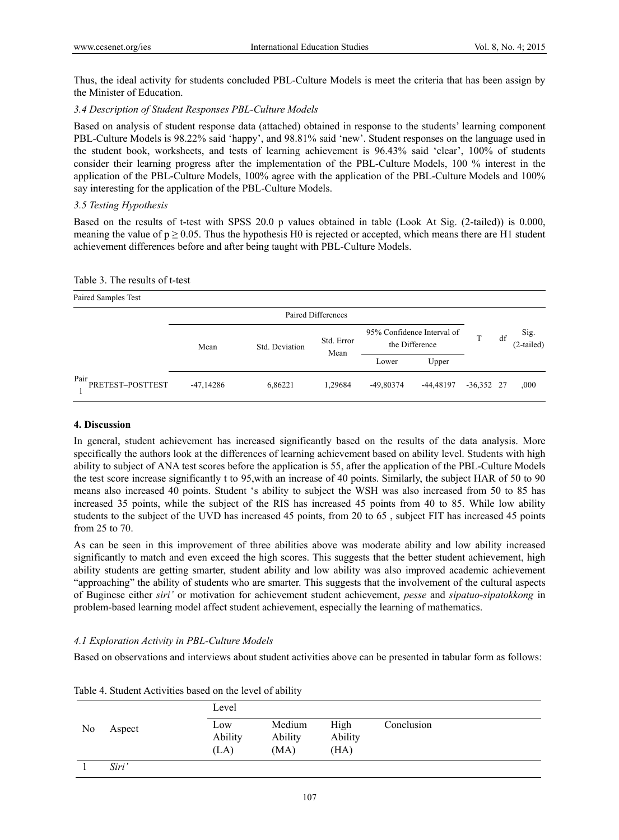Thus, the ideal activity for students concluded PBL-Culture Models is meet the criteria that has been assign by the Minister of Education.

#### *3.4 Description of Student Responses PBL-Culture Models*

Based on analysis of student response data (attached) obtained in response to the students' learning component PBL-Culture Models is 98.22% said 'happy', and 98.81% said 'new'. Student responses on the language used in the student book, worksheets, and tests of learning achievement is 96.43% said 'clear', 100% of students consider their learning progress after the implementation of the PBL-Culture Models, 100 % interest in the application of the PBL-Culture Models, 100% agree with the application of the PBL-Culture Models and 100% say interesting for the application of the PBL-Culture Models.

#### *3.5 Testing Hypothesis*

Table 3. The results of t-test

Based on the results of t-test with SPSS 20.0 p values obtained in table (Look At Sig. (2-tailed)) is 0.000, meaning the value of  $p \ge 0.05$ . Thus the hypothesis H0 is rejected or accepted, which means there are H1 student achievement differences before and after being taught with PBL-Culture Models.

| Paired Samples Test      |             |                |                    |                                              |           |              |    |                      |
|--------------------------|-------------|----------------|--------------------|----------------------------------------------|-----------|--------------|----|----------------------|
|                          |             |                | Paired Differences |                                              |           |              |    |                      |
|                          | Mean        | Std. Deviation | Std. Error<br>Mean | 95% Confidence Interval of<br>the Difference |           | T            | df | Sig.<br>$(2-tailed)$ |
|                          |             |                |                    | Lower                                        | Upper     |              |    |                      |
| Pair<br>PRETEST-POSTTEST | $-47,14286$ | 6,86221        | 1.29684            | -49.80374                                    | -44.48197 | $-36,352$ 27 |    | ,000                 |

#### **4. Discussion**

In general, student achievement has increased significantly based on the results of the data analysis. More specifically the authors look at the differences of learning achievement based on ability level. Students with high ability to subject of ANA test scores before the application is 55, after the application of the PBL-Culture Models the test score increase significantly t to 95,with an increase of 40 points. Similarly, the subject HAR of 50 to 90 means also increased 40 points. Student 's ability to subject the WSH was also increased from 50 to 85 has increased 35 points, while the subject of the RIS has increased 45 points from 40 to 85. While low ability students to the subject of the UVD has increased 45 points, from 20 to 65 , subject FIT has increased 45 points from 25 to 70.

As can be seen in this improvement of three abilities above was moderate ability and low ability increased significantly to match and even exceed the high scores. This suggests that the better student achievement, high ability students are getting smarter, student ability and low ability was also improved academic achievement "approaching" the ability of students who are smarter. This suggests that the involvement of the cultural aspects of Buginese either *siri'* or motivation for achievement student achievement, *pesse* and *sipatuo-sipatokkong* in problem-based learning model affect student achievement, especially the learning of mathematics.

#### *4.1 Exploration Activity in PBL-Culture Models*

Based on observations and interviews about student activities above can be presented in tabular form as follows:

|                |        | Level                  |                           |                         |            |  |
|----------------|--------|------------------------|---------------------------|-------------------------|------------|--|
| N <sub>0</sub> | Aspect | Low<br>Ability<br>(LA) | Medium<br>Ability<br>(MA) | High<br>Ability<br>(HA) | Conclusion |  |
|                | Siri'  |                        |                           |                         |            |  |

Table 4. Student Activities based on the level of ability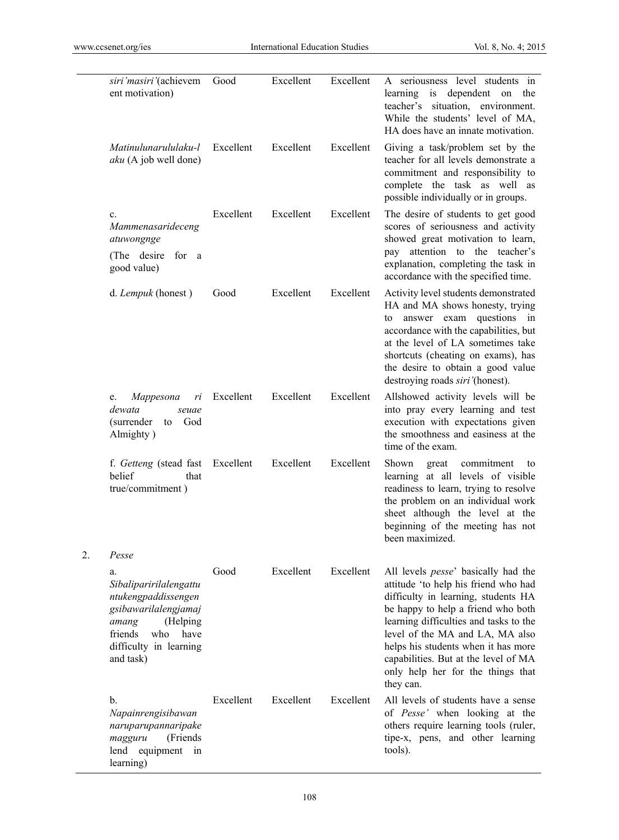2. *Pesse*

|    | siri'masiri'(achievem<br>ent motivation)                                                                                                                                | Good      | Excellent | Excellent | A seriousness level students in<br>learning<br>dependent on<br>is<br>the<br>teacher's situation, environment.<br>While the students' level of MA,<br>HA does have an innate motivation.                                                                                                                                                                                        |
|----|-------------------------------------------------------------------------------------------------------------------------------------------------------------------------|-----------|-----------|-----------|--------------------------------------------------------------------------------------------------------------------------------------------------------------------------------------------------------------------------------------------------------------------------------------------------------------------------------------------------------------------------------|
|    | Matinulunarululaku-l<br>aku (A job well done)                                                                                                                           | Excellent | Excellent | Excellent | Giving a task/problem set by the<br>teacher for all levels demonstrate a<br>commitment and responsibility to<br>complete the task as well as<br>possible individually or in groups.                                                                                                                                                                                            |
|    | c.<br>Mammenasarideceng<br>atuwongnge<br>(The desire<br>for a<br>good value)                                                                                            | Excellent | Excellent | Excellent | The desire of students to get good<br>scores of seriousness and activity<br>showed great motivation to learn,<br>pay attention to the teacher's<br>explanation, completing the task in<br>accordance with the specified time.                                                                                                                                                  |
|    | d. Lempuk (honest)                                                                                                                                                      | Good      | Excellent | Excellent | Activity level students demonstrated<br>HA and MA shows honesty, trying<br>answer exam questions in<br>to<br>accordance with the capabilities, but<br>at the level of LA sometimes take<br>shortcuts (cheating on exams), has<br>the desire to obtain a good value<br>destroying roads <i>siri</i> '(honest).                                                                  |
|    | Mappesona<br>ri<br>e.<br>dewata<br>seuae<br>(surrender<br>to<br>God<br>Almighty)                                                                                        | Excellent | Excellent | Excellent | Allshowed activity levels will be<br>into pray every learning and test<br>execution with expectations given<br>the smoothness and easiness at the<br>time of the exam.                                                                                                                                                                                                         |
|    | f. Getteng (stead fast)<br>belief<br>that<br>true/commitment)                                                                                                           | Excellent | Excellent | Excellent | commitment<br>Shown<br>great<br>to<br>learning at all levels of visible<br>readiness to learn, trying to resolve<br>the problem on an individual work<br>sheet although the level at the<br>beginning of the meeting has not<br>been maximized.                                                                                                                                |
| 2. | Pesse<br>a.<br>Sibaliparirilalengattu<br>ntukengpaddissengen<br>gsibawarilalengjamaj<br>(Helping<br>amang<br>who have<br>friends<br>difficulty in learning<br>and task) | Good      | Excellent | Excellent | All levels <i>pesse</i> ' basically had the<br>attitude 'to help his friend who had<br>difficulty in learning, students HA<br>be happy to help a friend who both<br>learning difficulties and tasks to the<br>level of the MA and LA, MA also<br>helps his students when it has more<br>capabilities. But at the level of MA<br>only help her for the things that<br>they can. |
|    | b.<br>Napainrengisibawan<br>naruparupannaripake<br>magguru<br>(Friends)<br>lend equipment in<br>learning)                                                               | Excellent | Excellent | Excellent | All levels of students have a sense<br>of Pesse' when looking at the<br>others require learning tools (ruler,<br>tipe-x, pens, and other learning<br>tools).                                                                                                                                                                                                                   |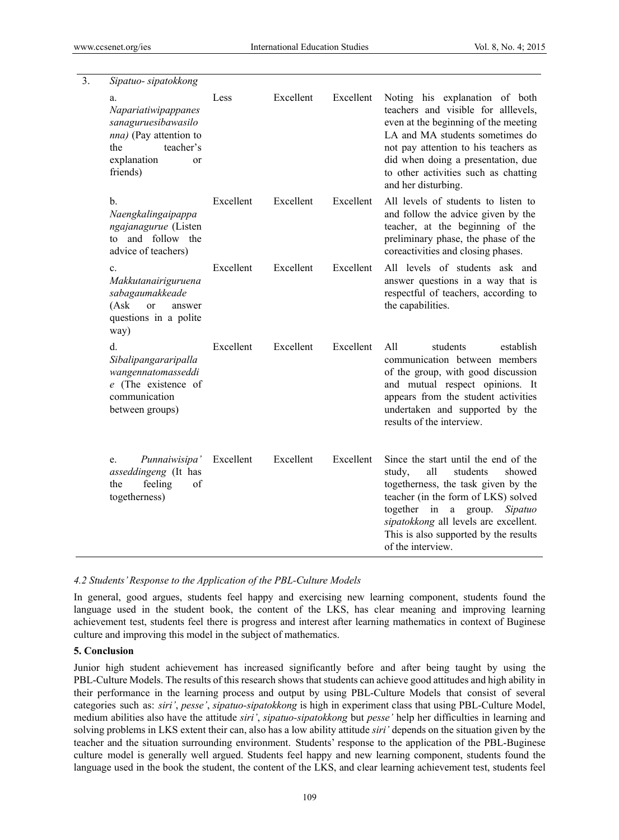| 3. | Sipatuo-sipatokkong                                                                                                             |           |           |           |                                                                                                                                                                                                                                                                                                                         |
|----|---------------------------------------------------------------------------------------------------------------------------------|-----------|-----------|-----------|-------------------------------------------------------------------------------------------------------------------------------------------------------------------------------------------------------------------------------------------------------------------------------------------------------------------------|
|    | a.<br>Napariatiwipappanes<br>sanaguruesibawasilo<br>nna) (Pay attention to<br>the<br>teacher's<br>explanation<br>or<br>friends) | Less      | Excellent | Excellent | Noting his explanation of both<br>teachers and visible for alllevels,<br>even at the beginning of the meeting<br>LA and MA students sometimes do<br>not pay attention to his teachers as<br>did when doing a presentation, due<br>to other activities such as chatting<br>and her disturbing.                           |
|    | b.<br>Naengkalingaipappa<br>ngajanagurue (Listen<br>to and follow the<br>advice of teachers)                                    | Excellent | Excellent | Excellent | All levels of students to listen to<br>and follow the advice given by the<br>teacher, at the beginning of the<br>preliminary phase, the phase of the<br>coreactivities and closing phases.                                                                                                                              |
|    | c.<br>Makkutanairiguruena<br>sabagaumakkeade<br>(Ask)<br><sub>or</sub><br>answer<br>questions in a polite<br>way)               | Excellent | Excellent | Excellent | All levels of students ask and<br>answer questions in a way that is<br>respectful of teachers, according to<br>the capabilities.                                                                                                                                                                                        |
|    | d.<br>Sibalipangararipalla<br>wangennatomasseddi<br>$e$ (The existence of<br>communication<br>between groups)                   | Excellent | Excellent | Excellent | All<br>students<br>establish<br>communication between members<br>of the group, with good discussion<br>and mutual respect opinions. It<br>appears from the student activities<br>undertaken and supported by the<br>results of the interview.                                                                           |
|    | Punnaiwisipa'<br>e.<br>asseddingeng (It has<br>feeling<br>the<br>of<br>togetherness)                                            | Excellent | Excellent | Excellent | Since the start until the end of the<br>all<br>students<br>showed<br>study,<br>togetherness, the task given by the<br>teacher (in the form of LKS) solved<br>$\mathbf{in}$<br>together<br>a<br>group.<br>Sipatuo<br>sipatokkong all levels are excellent.<br>This is also supported by the results<br>of the interview. |

#### *4.2 Students' Response to the Application of the PBL-Culture Models*

In general, good argues, students feel happy and exercising new learning component, students found the language used in the student book, the content of the LKS, has clear meaning and improving learning achievement test, students feel there is progress and interest after learning mathematics in context of Buginese culture and improving this model in the subject of mathematics.

#### **5. Conclusion**

Junior high student achievement has increased significantly before and after being taught by using the PBL-Culture Models. The results of this research shows that students can achieve good attitudes and high ability in their performance in the learning process and output by using PBL-Culture Models that consist of several categories such as: *siri'*, *pesse'*, *sipatuo-sipatokkong* is high in experiment class that using PBL-Culture Model, medium abilities also have the attitude *siri'*, *sipatuo-sipatokkong* but *pesse'* help her difficulties in learning and solving problems in LKS extent their can, also has a low ability attitude *siri'* depends on the situation given by the teacher and the situation surrounding environment. Students' response to the application of the PBL-Buginese culture model is generally well argued. Students feel happy and new learning component, students found the language used in the book the student, the content of the LKS, and clear learning achievement test, students feel